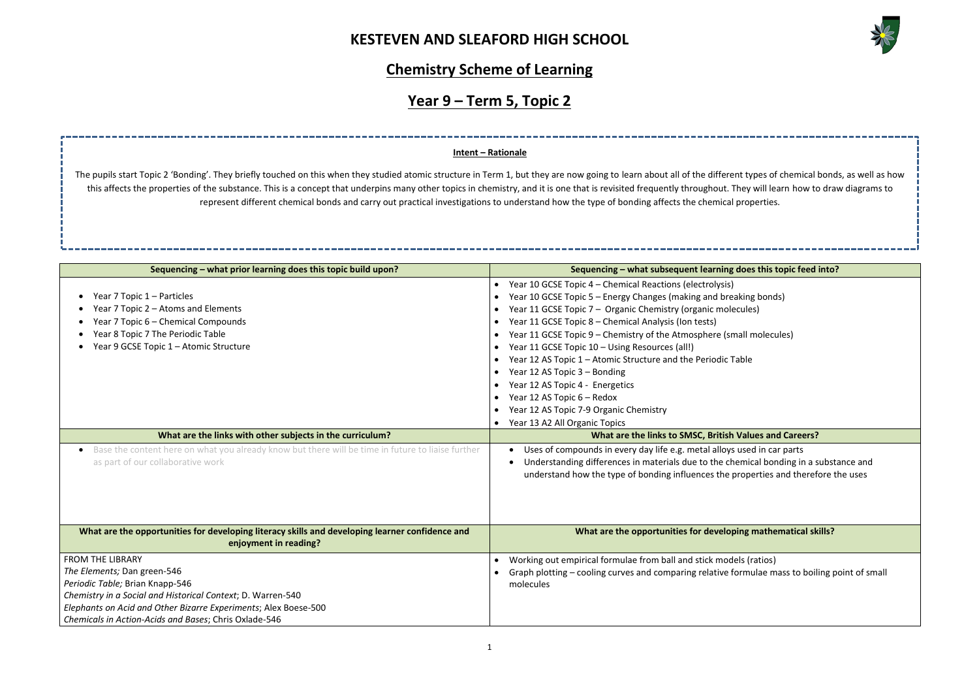

#### **Joes this topic feed into?**

king bonds)

all molecules)

### **Matues and Careers?**

used in car parts mical bonding in a substance and roperties and therefore the uses

#### **Mathematical skills?**

ls (ratios) rmulae mass to boiling point of small

### **Chemistry Scheme of Learning**

# **Year 9 – Term 5, Topic 2**

| Sequencing - what prior learning does this topic build upon?                                                                                                                                                                                                                         | Sequencing - what subsequent learning does                                                                                                                                                                                                                                                                                                                                                                                                                                                                                                                                                                       |  |
|--------------------------------------------------------------------------------------------------------------------------------------------------------------------------------------------------------------------------------------------------------------------------------------|------------------------------------------------------------------------------------------------------------------------------------------------------------------------------------------------------------------------------------------------------------------------------------------------------------------------------------------------------------------------------------------------------------------------------------------------------------------------------------------------------------------------------------------------------------------------------------------------------------------|--|
| Year 7 Topic 1 – Particles<br>Year 7 Topic 2 - Atoms and Elements<br>Year 7 Topic 6 - Chemical Compounds<br>Year 8 Topic 7 The Periodic Table<br>Year 9 GCSE Topic 1 - Atomic Structure                                                                                              | • Year 10 GCSE Topic 4 – Chemical Reactions (electrolysis)<br>Year 10 GCSE Topic 5 - Energy Changes (making and breaking I<br>Year 11 GCSE Topic 7 - Organic Chemistry (organic molecules)<br>Year 11 GCSE Topic 8 - Chemical Analysis (Ion tests)<br>Year 11 GCSE Topic 9 - Chemistry of the Atmosphere (small me<br>Year 11 GCSE Topic 10 - Using Resources (all!)<br>Year 12 AS Topic 1 - Atomic Structure and the Periodic Table<br>Year 12 AS Topic 3 - Bonding<br>Year 12 AS Topic 4 - Energetics<br>Year 12 AS Topic 6 - Redox<br>Year 12 AS Topic 7-9 Organic Chemistry<br>Year 13 A2 All Organic Topics |  |
| What are the links with other subjects in the curriculum?                                                                                                                                                                                                                            | What are the links to SMSC, British Value                                                                                                                                                                                                                                                                                                                                                                                                                                                                                                                                                                        |  |
| Base the content here on what you already know but there will be time in future to liaise further<br>as part of our collaborative work                                                                                                                                               | Uses of compounds in every day life e.g. metal alloys used<br>$\bullet$<br>Understanding differences in materials due to the chemica<br>understand how the type of bonding influences the proper                                                                                                                                                                                                                                                                                                                                                                                                                 |  |
| What are the opportunities for developing literacy skills and developing learner confidence and<br>enjoyment in reading?                                                                                                                                                             | What are the opportunities for developing m                                                                                                                                                                                                                                                                                                                                                                                                                                                                                                                                                                      |  |
| <b>FROM THE LIBRARY</b><br>The Elements; Dan green-546<br>Periodic Table; Brian Knapp-546<br>Chemistry in a Social and Historical Context; D. Warren-540<br>Elephants on Acid and Other Bizarre Experiments; Alex Boese-500<br>Chemicals in Action-Acids and Bases; Chris Oxlade-546 | Working out empirical formulae from ball and stick models (ra<br>Graph plotting - cooling curves and comparing relative formul<br>molecules                                                                                                                                                                                                                                                                                                                                                                                                                                                                      |  |

The pupils start Topic 2 'Bonding'. They briefly touched on this when they studied atomic structure in Term 1, but they are now going to learn about all of the different types of chemical bonds, as well as how this affects the properties of the substance. This is a concept that underpins many other topics in chemistry, and it is one that is revisited frequently throughout. They will learn how to draw diagrams to represent different chemical bonds and carry out practical investigations to understand how the type of bonding affects the chemical properties.

### **Intent – Rationale**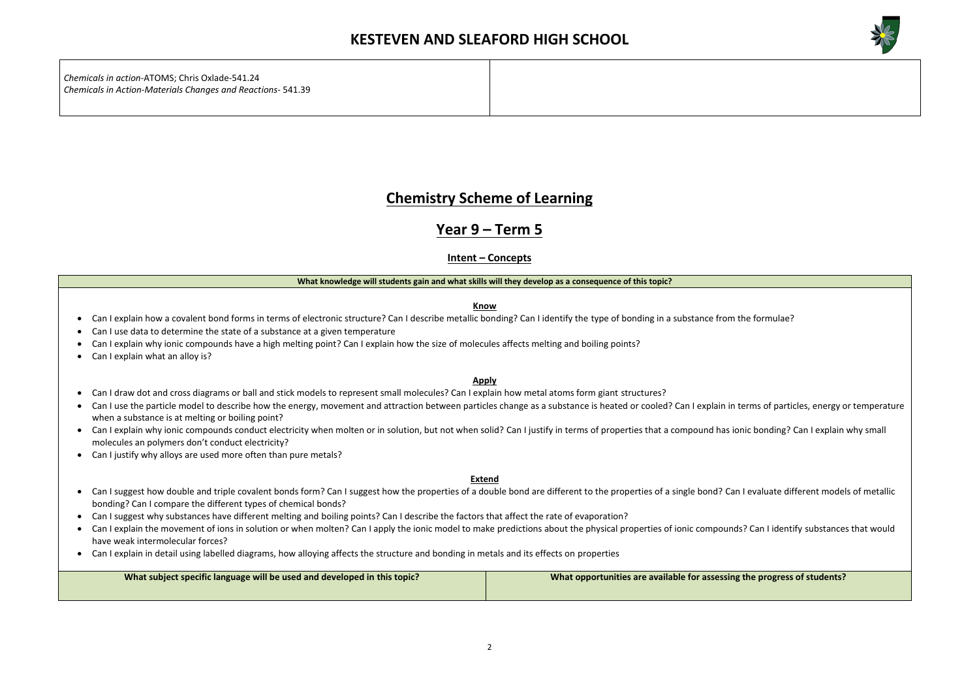

**the progress of students?** 

*Chemicals in action*-ATOMS; Chris Oxlade-541.24 *Chemicals in Action-Materials Changes and Reactions*- 541.39

### **Chemistry Scheme of Learning**

### **Year 9 – Term 5**

**Intent – Concepts**

#### **What knowledge will students gain and what skills will they develop as a consequence of this topic?**

**Know**

- Can I explain how a covalent bond forms in terms of electronic structure? Can I describe metallic bonding? Can I identify the type of bonding in a substance from the formulae?
- Can I use data to determine the state of a substance at a given temperature
- Can I explain why ionic compounds have a high melting point? Can I explain how the size of molecules affects melting and boiling points?
- Can I explain what an alloy is?

#### **Apply**

- Can I draw dot and cross diagrams or ball and stick models to represent small molecules? Can I explain how metal atoms form giant structures?
- Can I use the particle model to describe how the energy, movement and attraction between particles change as a substance is heated or cooled? Can I explain in terms of particles, energy or temperature when a substance is at melting or boiling point?
- Can I explain why ionic compounds conduct electricity when molten or in solution, but not when solid? Can I justify in terms of properties that a compound has ionic bonding? Can I explain why small molecules an polymers don't conduct electricity?
- Can I justify why alloys are used more often than pure metals?

- Can I suggest how double and triple covalent bonds form? Can I suggest how the properties of a double bond are different to the properties of a single bond? Can I evaluate different models of metallic bonding? Can I compare the different types of chemical bonds?
- Can I suggest why substances have different melting and boiling points? Can I describe the factors that affect the rate of evaporation?
- Can I explain the movement of ions in solution or when molten? Can I apply the ionic model to make predictions about the physical properties of ionic compounds? Can I identify substances that would have weak intermolecular forces?
- Can I explain in detail using labelled diagrams, how alloying affects the structure and bonding in metals and its effects on properties

| What subject specific language will be used and developed in this topic? | What opportunities are available for assessing |
|--------------------------------------------------------------------------|------------------------------------------------|
|                                                                          |                                                |

#### **Extend**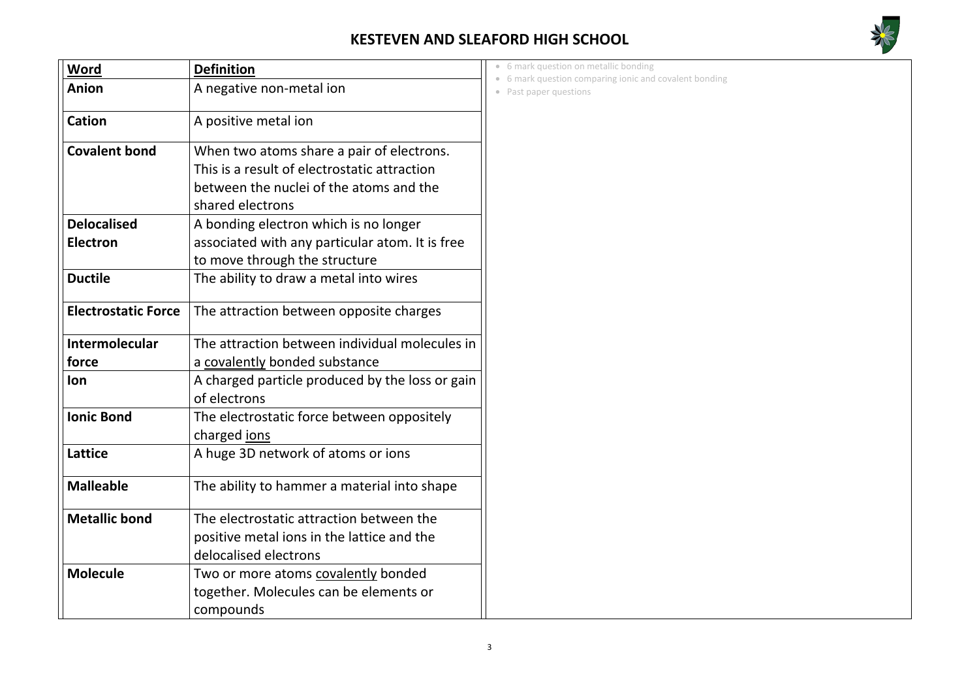

| Word                       | <b>Definition</b>                               |
|----------------------------|-------------------------------------------------|
| <b>Anion</b>               | A negative non-metal ion                        |
| <b>Cation</b>              | A positive metal ion                            |
| <b>Covalent bond</b>       | When two atoms share a pair of electrons.       |
|                            | This is a result of electrostatic attraction    |
|                            | between the nuclei of the atoms and the         |
|                            | shared electrons                                |
| <b>Delocalised</b>         | A bonding electron which is no longer           |
| <b>Electron</b>            | associated with any particular atom. It is free |
|                            | to move through the structure                   |
| <b>Ductile</b>             | The ability to draw a metal into wires          |
| <b>Electrostatic Force</b> | The attraction between opposite charges         |
| <b>Intermolecular</b>      | The attraction between individual molecules in  |
| force                      | a covalently bonded substance                   |
| lon                        | A charged particle produced by the loss or gain |
|                            | of electrons                                    |
| <b>Ionic Bond</b>          | The electrostatic force between oppositely      |
|                            | charged <u>ions</u>                             |
| <b>Lattice</b>             | A huge 3D network of atoms or ions              |
| <b>Malleable</b>           | The ability to hammer a material into shape     |
| <b>Metallic bond</b>       | The electrostatic attraction between the        |
|                            | positive metal ions in the lattice and the      |
|                            | delocalised electrons                           |
| <b>Molecule</b>            | Two or more atoms covalently bonded             |
|                            | together. Molecules can be elements or          |
|                            | compounds                                       |

• 6 mark question on metallic bonding

• 6 mark question comparing ionic and covalent bonding

• Past paper questions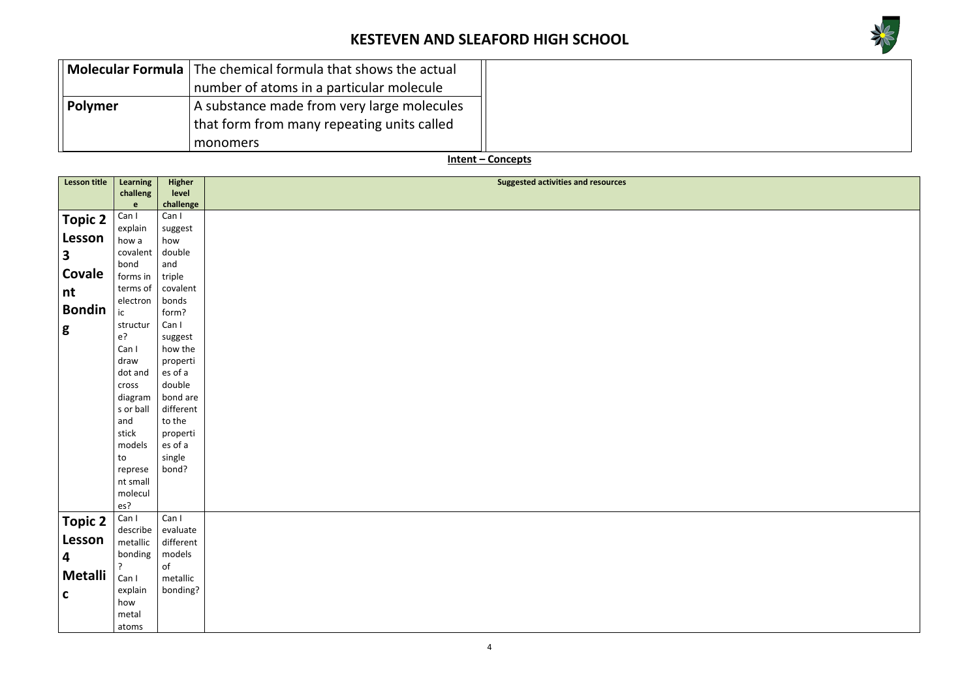



|                | <b>Molecular Formula</b> The chemical formula that shows the actual |
|----------------|---------------------------------------------------------------------|
|                | number of atoms in a particular molecule                            |
| <b>Polymer</b> | A substance made from very large molecules                          |
|                | that form from many repeating units called                          |
|                | monomers                                                            |

**Intent – Concepts**

| <b>Lesson title</b> | Learning         | <b>Higher</b>       | <b>Suggested activities and resources</b> |
|---------------------|------------------|---------------------|-------------------------------------------|
|                     | challeng         | level               |                                           |
|                     | e                | challenge           |                                           |
| <b>Topic 2</b>      | Can I            | Can I               |                                           |
|                     | explain          | suggest             |                                           |
| Lesson              | how a            | how                 |                                           |
| 3                   | covalent         | double              |                                           |
|                     | bond             | and                 |                                           |
| Covale              | forms in         | triple              |                                           |
| nt                  | terms of         | covalent            |                                           |
| <b>Bondin</b>       | electron         | bonds               |                                           |
|                     | ic               | form?               |                                           |
| g                   | structur         | Can I               |                                           |
|                     | $e$ ?            | suggest             |                                           |
|                     | Can I            | how the             |                                           |
|                     | draw<br>dot and  | properti<br>es of a |                                           |
|                     |                  | double              |                                           |
|                     | cross<br>diagram | bond are            |                                           |
|                     | s or ball        | different           |                                           |
|                     | and              | to the              |                                           |
|                     | stick            | properti            |                                           |
|                     | models           | es of a             |                                           |
|                     | to               | single              |                                           |
|                     | represe          | bond?               |                                           |
|                     | nt small         |                     |                                           |
|                     | molecul          |                     |                                           |
|                     | es?              |                     |                                           |
| <b>Topic 2</b>      | Can I            | Can I               |                                           |
|                     | describe         | evaluate            |                                           |
| Lesson              | metallic         | different           |                                           |
| 4                   | bonding          | models              |                                           |
|                     | ?                | of                  |                                           |
| <b>Metalli</b>      | Can I            | metallic            |                                           |
| $\mathbf C$         | explain          | bonding?            |                                           |
|                     | how              |                     |                                           |
|                     | metal            |                     |                                           |
|                     | atoms            |                     |                                           |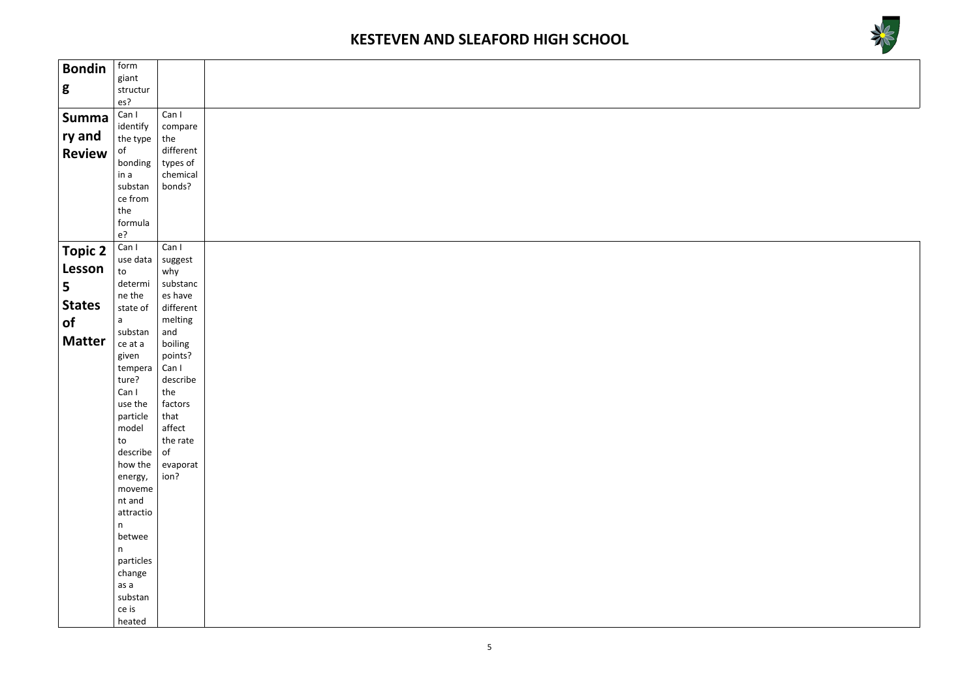



| <b>Bondin</b>  | form              |                    |  |
|----------------|-------------------|--------------------|--|
|                | giant             |                    |  |
| g              | structur          |                    |  |
|                | es?               |                    |  |
| <b>Summa</b>   | Can I             | Can I              |  |
|                | identify          | compare            |  |
| ry and         | the type          | the                |  |
| <b>Review</b>  | of                | different          |  |
|                | bonding           | types of           |  |
|                | in a<br>substan   | chemical<br>bonds? |  |
|                | ce from           |                    |  |
|                | the               |                    |  |
|                | formula           |                    |  |
|                | $e$ ?             |                    |  |
|                | Can I             | Can I              |  |
| <b>Topic 2</b> | use data $ $      | suggest            |  |
| Lesson         | to                | why                |  |
| 5              | determi           | substanc           |  |
|                | ne the            | es have            |  |
| <b>States</b>  | state of          | different          |  |
| <b>of</b>      | $\mathsf{a}$      | melting            |  |
|                | substan           | and                |  |
| <b>Matter</b>  | ce at a           | boiling            |  |
|                | given             | points?            |  |
|                | tempera           | Can I              |  |
|                | ture?             | describe           |  |
|                | Can I             | the                |  |
|                | use the           | factors            |  |
|                | particle<br>model | that<br>affect     |  |
|                | to                | the rate           |  |
|                | describe          | of                 |  |
|                | how the           | evaporat           |  |
|                | energy,           | ion?               |  |
|                | moveme            |                    |  |
|                | nt and            |                    |  |
|                | attractio         |                    |  |
|                | n                 |                    |  |
|                | betwee            |                    |  |
|                | n                 |                    |  |
|                | particles         |                    |  |
|                | change            |                    |  |
|                | as a              |                    |  |
|                | substan<br>ce is  |                    |  |
|                | heated            |                    |  |
|                |                   |                    |  |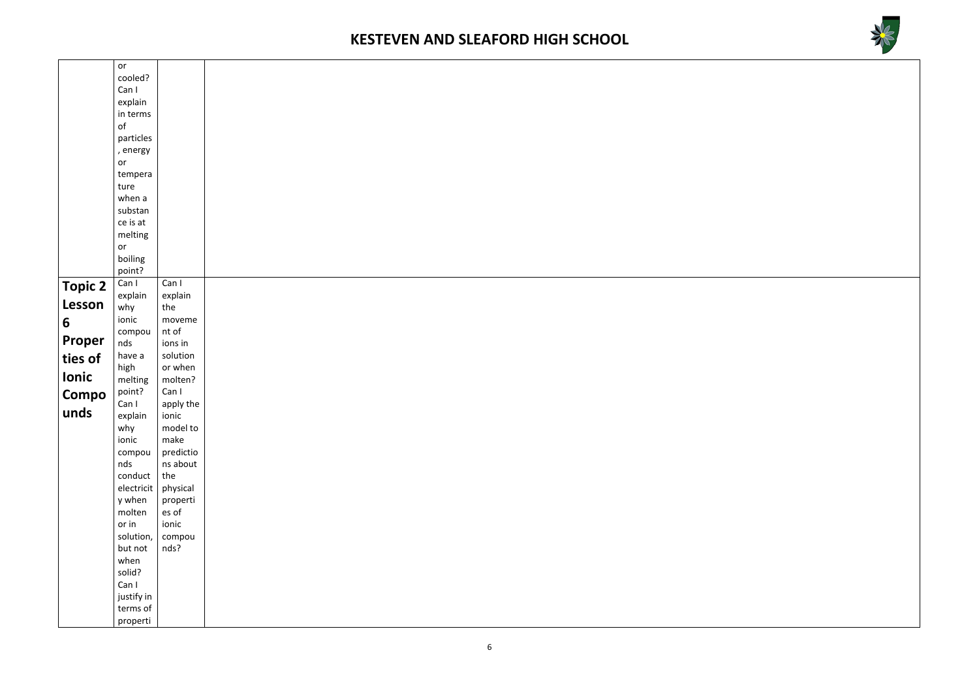

|                | or                |                       |  |
|----------------|-------------------|-----------------------|--|
|                | cooled?           |                       |  |
|                | Can I             |                       |  |
|                | explain           |                       |  |
|                | in terms          |                       |  |
|                | $\mathsf{of}$     |                       |  |
|                | particles         |                       |  |
|                | , energy          |                       |  |
|                | or                |                       |  |
|                | tempera           |                       |  |
|                | ture              |                       |  |
|                | when a            |                       |  |
|                | substan           |                       |  |
|                | ce is at          |                       |  |
|                | melting           |                       |  |
|                | or                |                       |  |
|                | boiling<br>point? |                       |  |
|                | Can I             | Can I                 |  |
| <b>Topic 2</b> | explain           | explain               |  |
| Lesson         | why               | the                   |  |
|                | ionic             | moveme                |  |
| 6              | compou            | nt of                 |  |
| Proper         | nds               | ions in               |  |
| ties of        | have a            | solution              |  |
|                | high              | or when               |  |
| Ionic          | melting           | molten?               |  |
| Compo          | point?            | Can I                 |  |
|                | Can I             | apply the             |  |
| unds           | explain           | ionic                 |  |
|                | why               | model to              |  |
|                | ionic             | make                  |  |
|                | compou            | predictio<br>ns about |  |
|                | nds<br>conduct    | the                   |  |
|                | electricit        | physical              |  |
|                | y when            | properti              |  |
|                | molten            | es of                 |  |
|                | or in             | ionic                 |  |
|                | solution,         | compou                |  |
|                | but not           | nds?                  |  |
|                | when              |                       |  |
|                | solid?            |                       |  |
|                | Can I             |                       |  |
|                | justify in        |                       |  |
|                | terms of          |                       |  |
|                | properti          |                       |  |